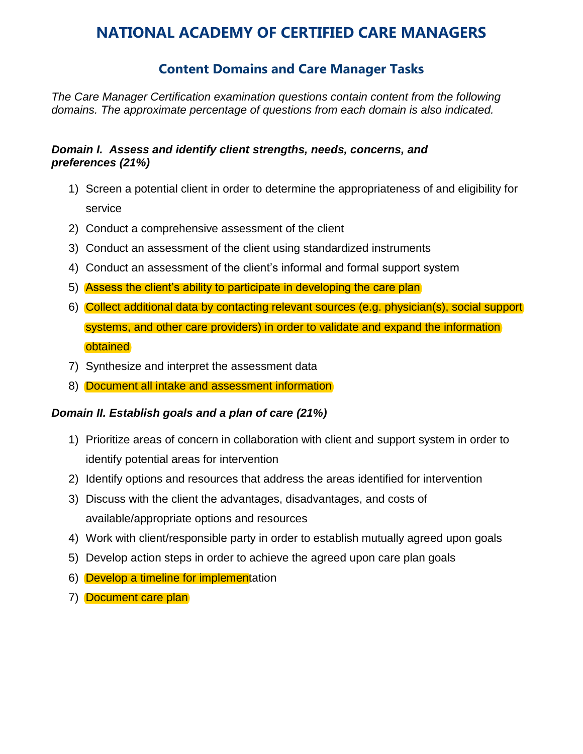# **NATIONAL ACADEMY OF CERTIFIED CARE MANAGERS**

## **Content Domains and Care Manager Tasks**

*The Care Manager Certification examination questions contain content from the following domains. The approximate percentage of questions from each domain is also indicated.* 

#### *Domain I. Assess and identify client strengths, needs, concerns, and preferences (21%)*

- 1) Screen a potential client in order to determine the appropriateness of and eligibility for service
- 2) Conduct a comprehensive assessment of the client
- 3) Conduct an assessment of the client using standardized instruments
- 4) Conduct an assessment of the client's informal and formal support system
- 5) Assess the client's ability to participate in developing the care plan
- 6) Collect additional data by contacting relevant sources (e.g. physician(s), social support systems, and other care providers) in order to validate and expand the information **obtained**
- 7) Synthesize and interpret the assessment data
- 8) Document all intake and assessment information

#### *Domain II. Establish goals and a plan of care (21%)*

- 1) Prioritize areas of concern in collaboration with client and support system in order to identify potential areas for intervention
- 2) Identify options and resources that address the areas identified for intervention
- 3) Discuss with the client the advantages, disadvantages, and costs of available/appropriate options and resources
- 4) Work with client/responsible party in order to establish mutually agreed upon goals
- 5) Develop action steps in order to achieve the agreed upon care plan goals
- 6) Develop a timeline for implementation
- 7) Document care plan